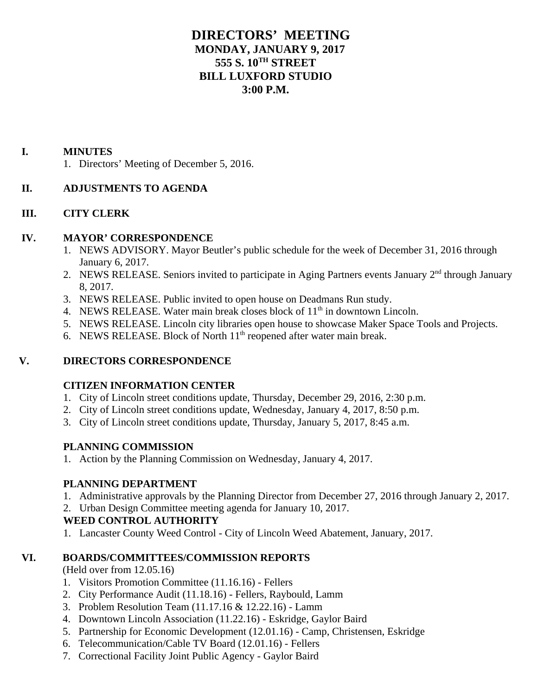# **DIRECTORS' MEETING MONDAY, JANUARY 9, 2017 555 S. 10TH STREET BILL LUXFORD STUDIO 3:00 P.M.**

#### **I. MINUTES**

1. Directors' Meeting of December 5, 2016.

## **II. ADJUSTMENTS TO AGENDA**

## **III. CITY CLERK**

#### **IV. MAYOR' CORRESPONDENCE**

- 1. NEWS ADVISORY. Mayor Beutler's public schedule for the week of December 31, 2016 through January 6, 2017.
- 2. NEWS RELEASE. Seniors invited to participate in Aging Partners events January 2<sup>nd</sup> through January 8, 2017.
- 3. NEWS RELEASE. Public invited to open house on Deadmans Run study.
- 4. NEWS RELEASE. Water main break closes block of  $11<sup>th</sup>$  in downtown Lincoln.
- 5. NEWS RELEASE. Lincoln city libraries open house to showcase Maker Space Tools and Projects.
- 6. NEWS RELEASE. Block of North  $11<sup>th</sup>$  reopened after water main break.

## **V. DIRECTORS CORRESPONDENCE**

## **CITIZEN INFORMATION CENTER**

- 1. City of Lincoln street conditions update, Thursday, December 29, 2016, 2:30 p.m.
- 2. City of Lincoln street conditions update, Wednesday, January 4, 2017, 8:50 p.m.
- 3. City of Lincoln street conditions update, Thursday, January 5, 2017, 8:45 a.m.

## **PLANNING COMMISSION**

1. Action by the Planning Commission on Wednesday, January 4, 2017.

## **PLANNING DEPARTMENT**

- 1. Administrative approvals by the Planning Director from December 27, 2016 through January 2, 2017.
- 2. Urban Design Committee meeting agenda for January 10, 2017.

## **WEED CONTROL AUTHORITY**

1. Lancaster County Weed Control - City of Lincoln Weed Abatement, January, 2017.

## **VI. BOARDS/COMMITTEES/COMMISSION REPORTS**

(Held over from 12.05.16)

- 1. Visitors Promotion Committee (11.16.16) Fellers
- 2. City Performance Audit (11.18.16) Fellers, Raybould, Lamm
- 3. Problem Resolution Team (11.17.16 & 12.22.16) Lamm
- 4. Downtown Lincoln Association (11.22.16) Eskridge, Gaylor Baird
- 5. Partnership for Economic Development (12.01.16) Camp, Christensen, Eskridge
- 6. Telecommunication/Cable TV Board (12.01.16) Fellers
- 7. Correctional Facility Joint Public Agency Gaylor Baird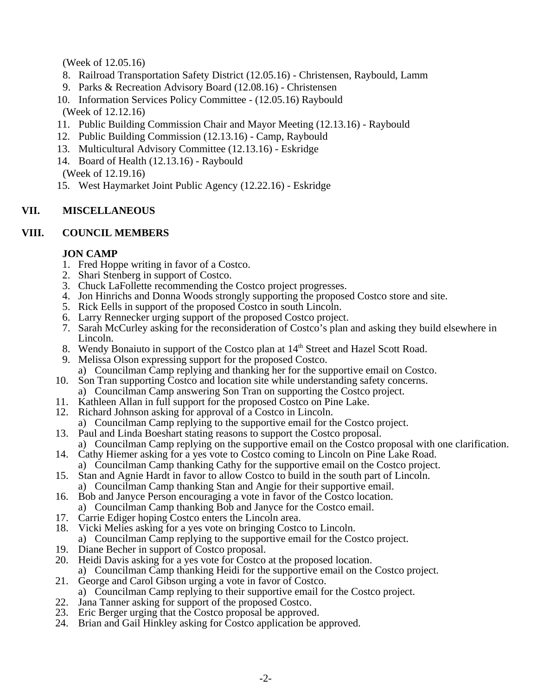(Week of 12.05.16)

- 8. Railroad Transportation Safety District (12.05.16) Christensen, Raybould, Lamm
- 9. Parks & Recreation Advisory Board (12.08.16) Christensen
- 10. Information Services Policy Committee (12.05.16) Raybould
- (Week of 12.12.16)
- 11. Public Building Commission Chair and Mayor Meeting (12.13.16) Raybould
- 12. Public Building Commission (12.13.16) Camp, Raybould
- 13. Multicultural Advisory Committee (12.13.16) Eskridge
- 14. Board of Health (12.13.16) Raybould
- (Week of 12.19.16)
- 15. West Haymarket Joint Public Agency (12.22.16) Eskridge

# **VII. MISCELLANEOUS**

## **VIII. COUNCIL MEMBERS**

## **JON CAMP**

- 1. Fred Hoppe writing in favor of a Costco.
- 2. Shari Stenberg in support of Costco.
- 3. Chuck LaFollette recommending the Costco project progresses.
- 4. Jon Hinrichs and Donna Woods strongly supporting the proposed Costco store and site.
- 5. Rick Eells in support of the proposed Costco in south Lincoln.
- 6. Larry Rennecker urging support of the proposed Costco project.
- 7. Sarah McCurley asking for the reconsideration of Costco's plan and asking they build elsewhere in Lincoln.
- 8. Wendy Bonaiuto in support of the Costco plan at 14<sup>th</sup> Street and Hazel Scott Road.
- 9. Melissa Olson expressing support for the proposed Costco.
	- a) Councilman Camp replying and thanking her for the supportive email on Costco.
- 10. Son Tran supporting Costco and location site while understanding safety concerns.
- a) Councilman Camp answering Son Tran on supporting the Costco project. 11. Kathleen Allan in full support for the proposed Costco on Pine Lake.
- 
- 12. Richard Johnson asking for approval of a Costco in Lincoln.
- a) Councilman Camp replying to the supportive email for the Costco project. 13. Paul and Linda Boeshart stating reasons to support the Costco proposal.
- a) Councilman Camp replying on the supportive email on the Costco proposal with one clarification.
- 14. Cathy Hiemer asking for a yes vote to Costco coming to Lincoln on Pine Lake Road.
	- a) Councilman Camp thanking Cathy for the supportive email on the Costco project.
- 15. Stan and Agnie Hardt in favor to allow Costco to build in the south part of Lincoln. a) Councilman Camp thanking Stan and Angie for their supportive email.
- 16. Bob and Janyce Person encouraging a vote in favor of the Costco location. a) Councilman Camp thanking Bob and Janyce for the Costco email.
- 17. Carrie Ediger hoping Costco enters the Lincoln area.
- 18. Vicki Melies asking for a yes vote on bringing Costco to Lincoln.
- a) Councilman Camp replying to the supportive email for the Costco project.
- 19. Diane Becher in support of Costco proposal.
- 20. Heidi Davis asking for a yes vote for Costco at the proposed location. a) Councilman Camp thanking Heidi for the supportive email on the Costco project.
- 21. George and Carol Gibson urging a vote in favor of Costco.
- a) Councilman Camp replying to their supportive email for the Costco project.
- 22. Jana Tanner asking for support of the proposed Costco.
- 23. Eric Berger urging that the Costco proposal be approved.
- 24. Brian and Gail Hinkley asking for Costco application be approved.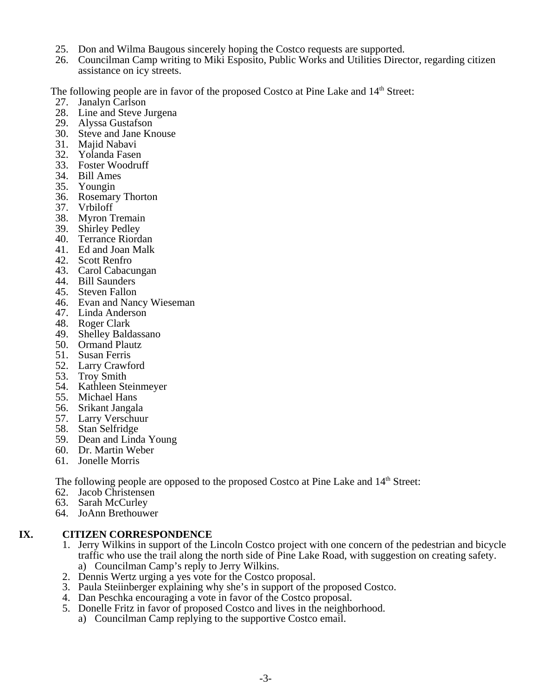- 25. Don and Wilma Baugous sincerely hoping the Costco requests are supported.
- 26. Councilman Camp writing to Miki Esposito, Public Works and Utilities Director, regarding citizen assistance on icy streets.

The following people are in favor of the proposed Costco at Pine Lake and 14<sup>th</sup> Street:

- 27. Janalyn Carlson
- 28. Line and Steve Jurgena
- 29. Alyssa Gustafson
- 30. Steve and Jane Knouse
- 31. Majid Nabavi
- 32. Yolanda Fasen
- 33. Foster Woodruff
- 34. Bill Ames
- 35. Youngin
- 36. Rosemary Thorton
- 37. Vrbiloff
- 38. Myron Tremain
- 39. Shirley Pedley
- 40. Terrance Riordan
- 41. Ed and Joan Malk
- 42. Scott Renfro
- 43. Carol Cabacungan
- 44. Bill Saunders
- 45. Steven Fallon
- 46. Evan and Nancy Wieseman
- 47. Linda Anderson
- 48. Roger Clark
- 49. Shelley Baldassano
- 50. Ormand Plautz
- 51. Susan Ferris
- 52. Larry Crawford
- 53. Troy Smith
- 54. Kathleen Steinmeyer
- 55. Michael Hans
- 56. Srikant Jangala
- 57. Larry Verschuur
- 58. Stan Selfridge
- 59. Dean and Linda Young
- 60. Dr. Martin Weber
- 61. Jonelle Morris

The following people are opposed to the proposed Costco at Pine Lake and 14<sup>th</sup> Street:

- 62. Jacob Christensen
- 63. Sarah McCurley
- 64. JoAnn Brethouwer

## **IX. CITIZEN CORRESPONDENCE**

- 1. Jerry Wilkins in support of the Lincoln Costco project with one concern of the pedestrian and bicycle traffic who use the trail along the north side of Pine Lake Road, with suggestion on creating safety. a) Councilman Camp's reply to Jerry Wilkins.
- 2. Dennis Wertz urging a yes vote for the Costco proposal.
- 3. Paula Steiinberger explaining why she's in support of the proposed Costco.
- 4. Dan Peschka encouraging a vote in favor of the Costco proposal.
- 5. Donelle Fritz in favor of proposed Costco and lives in the neighborhood.
	- a) Councilman Camp replying to the supportive Costco email.